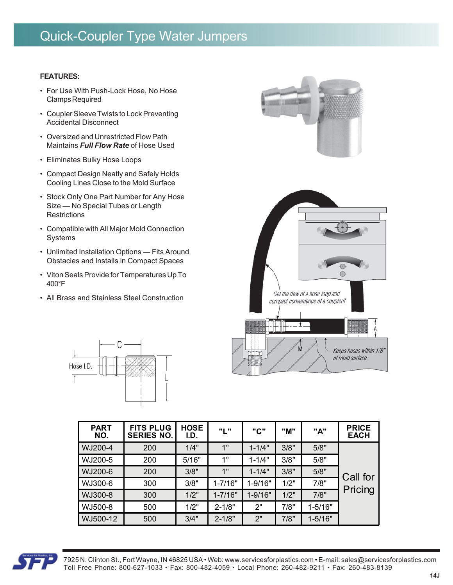# Quick-Coupler Type Water Jumpers

#### **FEATURES:**

- For Use With Push-Lock Hose, No Hose Clamps Required
- Coupler Sleeve Twists to Lock Preventing Accidental Disconnect
- Oversized and Unrestricted Flow Path Maintains *Full Flow Rate* of Hose Used
- Eliminates Bulky Hose Loops
- Compact Design Neatly and Safely Holds Cooling Lines Close to the Mold Surface
- Stock Only One Part Number for Any Hose Size — No Special Tubes or Length **Restrictions**
- Compatible with All Major Mold Connection Systems
- Unlimited Installation Options Fits Around Obstacles and Installs in Compact Spaces
- Viton Seals Provide for Temperatures Up To 400°F
- All Brass and Stainless Steel Construction





| <b>PART</b><br>NO. | <b>FITS PLUG</b><br><b>SERIES NO.</b> | <b>HOSE</b><br>I.D. | "L"         | "C"        | "M"  | "A"         | <b>PRICE</b><br><b>EACH</b> |
|--------------------|---------------------------------------|---------------------|-------------|------------|------|-------------|-----------------------------|
| WJ200-4            | 200                                   | 1/4"                | 1"          | $1 - 1/4"$ | 3/8" | 5/8"        |                             |
| WJ200-5            | 200                                   | 5/16"               | 1"          | $1 - 1/4"$ | 3/8" | 5/8"        |                             |
| WJ200-6            | 200                                   | 3/8"                | 1"          | $1 - 1/4"$ | 3/8" | 5/8"        | Call for                    |
| WJ300-6            | 300                                   | 3/8"                | $1 - 7/16"$ | 1-9/16"    | 1/2" | 7/8"        |                             |
| WJ300-8            | 300                                   | 1/2"                | $1 - 7/16"$ | 1-9/16"    | 1/2" | 7/8"        | Pricing                     |
| WJ500-8            | 500                                   | 1/2"                | $2 - 1/8"$  | 2"         | 7/8" | $1 - 5/16"$ |                             |
| WJ500-12           | 500                                   | 3/4"                | $2 - 1/8"$  | 2"         | 7/8" | $1 - 5/16"$ |                             |

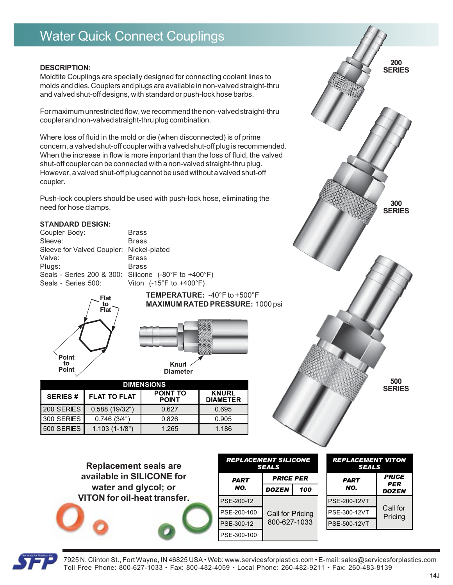# Water Quick Connect Couplings

#### **DESCRIPTION:**

Moldtite Couplings are specially designed for connecting coolant lines to molds and dies. Couplers and plugs are available in non-valved straight-thru and valved shut-off designs, with standard or push-lock hose barbs.

For maximum unrestricted flow, we recommend the non-valved straight-thru coupler and non-valved straight-thru plug combination.

Where loss of fluid in the mold or die (when disconnected) is of prime concern, a valved shut-off coupler with a valved shut-off plug is recommended. When the increase in flow is more important than the loss of fluid, the valved shut-off coupler can be connected with a non-valved straight-thru plug. However, a valved shut-off plug cannot be used without a valved shut-off coupler.

Push-lock couplers should be used with push-lock hose, eliminating the need for hose clamps.

#### **STANDARD DESIGN:**

| Coupler Body:                            | <b>Brass</b>           |
|------------------------------------------|------------------------|
| Sleeve:                                  | <b>Brass</b>           |
| Sleeve for Valved Coupler: Nickel-plated |                        |
| Valve:                                   | <b>Brass</b>           |
| Plugs:                                   | <b>Brass</b>           |
| Seals - Series 200 & 300: Silicone (-80  |                        |
| Seals - Series 500:                      | Viton $(-15^{\circ}F)$ |
|                                          |                        |

 $-80^\circ$ F to  $+400^\circ$ F)  $\degree$ F to +400 $\degree$ F)





**TEMPERATURE:** -40°F to +500°F

**MAXIMUM RATED PRESSURE:** 1000 psi

| <b>DIMENSIONS</b> |                     |                                 |                                 |  |  |  |  |
|-------------------|---------------------|---------------------------------|---------------------------------|--|--|--|--|
| <b>SERIES#</b>    | <b>FLAT TO FLAT</b> | <b>POINT TO</b><br><b>POINT</b> | <b>KNURL</b><br><b>DIAMETER</b> |  |  |  |  |
| <b>200 SERIES</b> | 0.588(19/32")       | 0.627                           | 0.695                           |  |  |  |  |
| 300 SERIES        | 0.746(3/4")         | 0.826                           | 0.905                           |  |  |  |  |
| 500 SERIES        | $1.103(1 - 1/8")$   | 1.265                           | 1.186                           |  |  |  |  |

**Replacement seals are available in SILICONE for water and glycol; or VITON for oil-heat transfer.** *REPLACEMENT SILICONE SEALS REPLACEMENT VITON SEALS PART NO. PRICE PER PART NO. PRICE PER DOZEN 100 DOZEN* PSE-200-12 PSE-200-100 | Call for Pricing | PSE-300-12VT Pricing 800-627-1033 PSE-300-12 PSE-500-12VT PSE-200-12VT Call for PSE-300-100



7925 N. Clinton St., Fort Wayne, IN 46825 USA • Web: www.servicesforplastics.com • E-mail: sales@servicesforplastics.com Toll Free Phone: 800-627-1033 • Fax: 800-482-4059 • Local Phone: 260-482-9211 • Fax: 260-483-8139

**200 SERIES**

**300 SERIES**

**500 SERIES**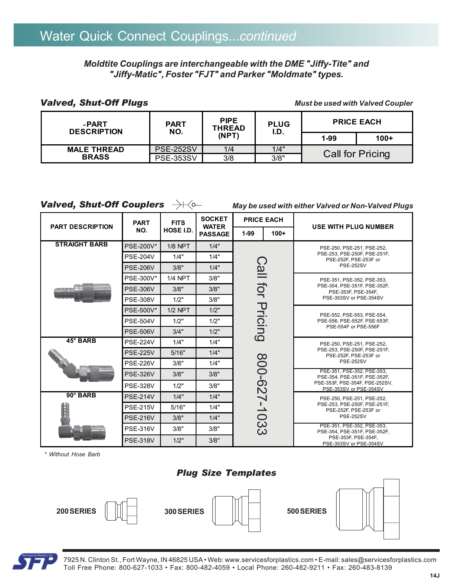### *Moldtite Couplings are interchangeable with the DME "Jiffy-Tite" and "Jiffy-Matic", Foster "FJT" and Parker "Moldmate" types.*

#### *Valved, Shut-Off Plugs Must be used with Valved Coupler*

| -PART<br><b>DESCRIPTION</b> | <b>PART</b><br>NO. | <b>PIPE</b><br><b>THREAD</b> | <b>PLUG</b><br>I.D. |      | <b>PRICE EACH</b> |
|-----------------------------|--------------------|------------------------------|---------------------|------|-------------------|
|                             |                    | (NPT)                        |                     | 1-99 | $100+$            |
| <b>MALE THREAD</b>          | <b>PSE-252SV</b>   | 1/4                          | 1/4"                |      |                   |
| <b>BRASS</b>                | <b>PSE-353SV</b>   | 3/8                          | 3/8"                |      | Call for Pricing  |

**Valved, Shut-Off Couplers**  $\rightarrow \hspace{-.15cm}\downarrow\hspace{-.15cm} \rightarrow \hspace{-.15cm}\downarrow\hspace{-.15cm} \circ$ 

*May be used with either Valved or Non-Valved Plugs*

| <b>PART DESCRIPTION</b> | <b>PART</b>      | <b>FITS</b>    | <b>SOCKET</b>                  | <b>PRICE EACH</b>       |        |                                                            |
|-------------------------|------------------|----------------|--------------------------------|-------------------------|--------|------------------------------------------------------------|
|                         | NO.              | HOSE I.D.      | <b>WATER</b><br><b>PASSAGE</b> | $1-99$                  | $100+$ | USE WITH PLUG NUMBER                                       |
| <b>STRAIGHT BARB</b>    | <b>PSE-200V*</b> | $1/8$ NPT      | 1/4"                           |                         |        | PSE-250, PSE-251, PSE-252,                                 |
|                         | <b>PSE-204V</b>  | 1/4"           | 1/4"                           |                         |        | PSE-253, PSE-250F, PSE-251F,<br>PSE-252F. PSE-253F or      |
|                         | <b>PSE-206V</b>  | 3/8"           | 1/4"                           | $\overline{\mathbb{E}}$ |        | <b>PSE-252SV</b>                                           |
|                         | PSE-300V*        | <b>1/4 NPT</b> | 3/8"                           |                         |        | PSE-351, PSE-352, PSE-353,                                 |
|                         | <b>PSE-306V</b>  | 3/8"           | 3/8"                           | tor                     |        | PSE-354, PSE-351F, PSE-352F,<br>PSE-353F, PSE-354F,        |
|                         | <b>PSE-308V</b>  | 1/2"           | 3/8"                           |                         |        | PSE-353SV or PSE-354SV                                     |
|                         | <b>PSE-500V*</b> | $1/2$ NPT      | 1/2"                           |                         |        | PSE-552, PSE-553, PSE-554.                                 |
|                         | <b>PSE-504V</b>  | 1/2"           | 1/2"                           |                         |        | PSE-556, PSE-552F, PSE-553F,                               |
|                         | <b>PSE-506V</b>  | 3/4"           | 1/2"                           | Pricing                 |        | PSE-554F or PSE-556F                                       |
| 45° BARB                | <b>PSE-224V</b>  | 1/4"           | 1/4"                           |                         |        | PSE-250, PSE-251, PSE-252,                                 |
|                         | <b>PSE-225V</b>  | 5/16"          | 1/4"                           |                         |        | PSE-253, PSE-250F, PSE-251F,<br>PSE-252F. PSE-253F or      |
|                         | <b>PSE-226V</b>  | 3/8"           | 1/4"                           |                         |        | <b>PSE-252SV</b>                                           |
|                         | <b>PSE-326V</b>  | 3/8"           | 3/8"                           |                         |        | PSE-351, PSE-352, PSE-353.<br>PSE-354, PSE-351F, PSE-352F, |
|                         | <b>PSE-328V</b>  | 1/2"           | 3/8"                           |                         |        | PSE-353F, PSE-354F, PSE-252SV,<br>PSE-353SV or PSE-354SV   |
| 90° BARB                | <b>PSE-214V</b>  | 1/4"           | 1/4"                           |                         |        | PSE-250, PSE-251, PSE-252,                                 |
|                         | <b>PSE-215V</b>  | 5/16"          | 1/4"                           |                         |        | PSE-253, PSE-250F, PSE-251F.<br>PSE-252F. PSE-253F or      |
|                         | <b>PSE-216V</b>  | 3/8"           | 1/4"                           |                         |        | <b>PSE-252SV</b>                                           |
|                         | <b>PSE-316V</b>  | 3/8"           | 3/8"                           | 800-627-1033            |        | PSE-351, PSE-352, PSE-353,<br>PSE-354, PSE-351F, PSE-352F, |
|                         | <b>PSE-318V</b>  | 1/2"           | 3/8"                           |                         |        | PSE-353F, PSE-354F,<br>PSE-353SV or PSE-354SV              |

*\* Without Hose Barb*







7925 N. Clinton St., Fort Wayne, IN 46825 USA • Web: www.servicesforplastics.com • E-mail: sales@servicesforplastics.com Toll Free Phone: 800-627-1033 • Fax: 800-482-4059 • Local Phone: 260-482-9211 • Fax: 260-483-8139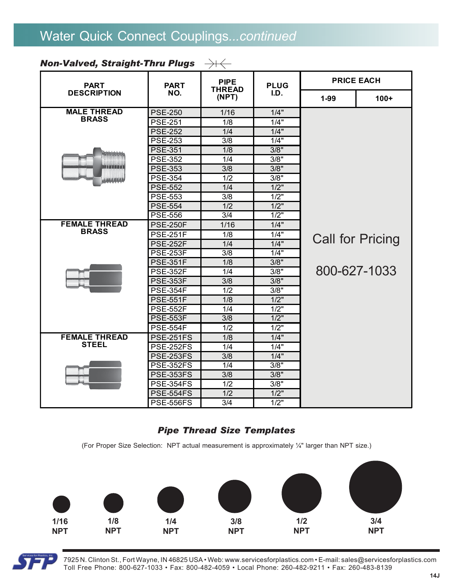| <b>Non-Valved, Straight-Thru Plugs</b> | $\rightarrow$ $\leftarrow$ |
|----------------------------------------|----------------------------|
|                                        |                            |

| <b>PART</b>          | <b>PART</b>      | <b>PIPE</b><br><b>THREAD</b> | <b>PLUG</b> |          | <b>PRICE EACH</b>       |
|----------------------|------------------|------------------------------|-------------|----------|-------------------------|
| <b>DESCRIPTION</b>   | NO.              | (NPT)                        | LD.         | $1 - 99$ | $100+$                  |
| <b>MALE THREAD</b>   | <b>PSE-250</b>   | 1/16                         | 1/4"        |          |                         |
| <b>BRASS</b>         | <b>PSE-251</b>   | 1/8                          | 1/4"        |          |                         |
|                      | <b>PSE-252</b>   | 1/4                          | 1/4"        |          |                         |
|                      | <b>PSE-253</b>   | 3/8                          | 1/4"        |          |                         |
|                      | <b>PSE-351</b>   | 1/8                          | 3/8"        |          |                         |
|                      | <b>PSE-352</b>   | 1/4                          | 3/8"        |          |                         |
|                      | <b>PSE-353</b>   | 3/8                          | 3/8"        |          |                         |
|                      | <b>PSE-354</b>   | 1/2                          | 3/8"        |          |                         |
|                      | <b>PSE-552</b>   | 1/4                          | 1/2"        |          |                         |
|                      | <b>PSE-553</b>   | 3/8                          | 1/2"        |          |                         |
|                      | <b>PSE-554</b>   | 1/2                          | 1/2"        |          |                         |
|                      | <b>PSE-556</b>   | 3/4                          | 1/2"        |          |                         |
| <b>FEMALE THREAD</b> | <b>PSE-250F</b>  | 1/16                         | 1/4"        |          |                         |
| <b>BRASS</b>         | <b>PSE-251F</b>  | 1/8                          | 1/4"        |          |                         |
|                      | <b>PSE-252F</b>  | 1/4                          | 1/4"        |          | <b>Call for Pricing</b> |
|                      | <b>PSE-253F</b>  | 3/8                          | 1/4"        |          |                         |
|                      | <b>PSE-351F</b>  | 1/8                          | 3/8"        |          |                         |
|                      | <b>PSE-352F</b>  | 1/4                          | 3/8"        |          | 800-627-1033            |
|                      | <b>PSE-353F</b>  | 3/8                          | 3/8"        |          |                         |
|                      | <b>PSE-354F</b>  | 1/2                          | 3/8"        |          |                         |
|                      | <b>PSE-551F</b>  | 1/8                          | 1/2"        |          |                         |
|                      | <b>PSE-552F</b>  | 1/4                          | 1/2"        |          |                         |
|                      | <b>PSE-553F</b>  | 3/8                          | 1/2"        |          |                         |
|                      | <b>PSE-554F</b>  | 1/2                          | 1/2"        |          |                         |
| <b>FEMALE THREAD</b> | <b>PSE-251FS</b> | 1/8                          | 1/4"        |          |                         |
| <b>STEEL</b>         | <b>PSE-252FS</b> | 1/4                          | 1/4"        |          |                         |
|                      | <b>PSE-253FS</b> | 3/8                          | 1/4"        |          |                         |
|                      | <b>PSE-352FS</b> | 1/4                          | 3/8"        |          |                         |
|                      | <b>PSE-353FS</b> | 3/8                          | 3/8"        |          |                         |
|                      | <b>PSE-354FS</b> | 1/2                          | 3/8"        |          |                         |
|                      | <b>PSE-554FS</b> | 1/2                          | 1/2"        |          |                         |
|                      | <b>PSE-556FS</b> | 3/4                          | 1/2"        |          |                         |

### *Pipe Thread Size Templates*

(For Proper Size Selection: NPT actual measurement is approximately ¼" larger than NPT size.)



7925 N. Clinton St., Fort Wayne, IN 46825 USA • Web: www.servicesforplastics.com • E-mail: sales@servicesforplastics.com Toll Free Phone: 800-627-1033 • Fax: 800-482-4059 • Local Phone: 260-482-9211 • Fax: 260-483-8139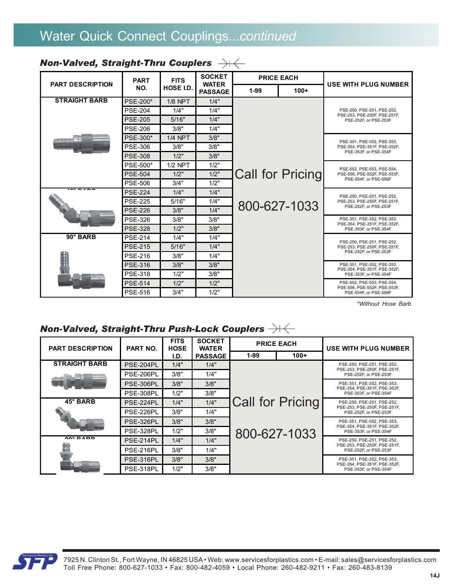# Water Quick Connect Couplings*...continued*

|                         | <b>PART</b>    | <b>FITS</b>    | <b>SOCKET</b>                  |        | <b>PRICE EACH</b>       |                                                            |  |
|-------------------------|----------------|----------------|--------------------------------|--------|-------------------------|------------------------------------------------------------|--|
| <b>PART DESCRIPTION</b> | NO.            | HOSE I.D.      | <b>WATER</b><br><b>PASSAGE</b> | $1-99$ | $100+$                  | USE WITH PLUG NUMBER                                       |  |
| <b>STRAIGHT BARB</b>    | PSE-200*       | $1/8$ NPT      | 1/4"                           |        |                         |                                                            |  |
|                         | <b>PSE-204</b> | 1/4"           | 1/4"                           |        |                         | PSE-250, PSE-251, PSE-252,<br>PSE-253, PSE-250F, PSE-251F, |  |
|                         | <b>PSE-205</b> | 5/16"          | 1/4"                           |        |                         | PSE-252F, or PSE-253F                                      |  |
|                         | <b>PSE-206</b> | 3/8"           | 1/4"                           |        |                         |                                                            |  |
|                         | PSE-300*       | <b>1/4 NPT</b> | 3/8"                           |        |                         | PSE-351, PSE-352, PSE-353,                                 |  |
|                         | <b>PSE-306</b> | 3/8"           | 3/8"                           |        |                         | PSE-354, PSE-351F, PSE-352F,                               |  |
|                         | <b>PSE-308</b> | 1/2"           | 3/8"                           |        |                         | PSE-353F, or PSE-354F                                      |  |
|                         | PSE-500*       | $1/2$ NPT      | 1/2"                           |        |                         | PSE-552, PSE-553, PSE-554,                                 |  |
|                         | <b>PSF-504</b> | 1/2"           | 1/2"                           |        | <b>Call for Pricing</b> | PSE-556, PSE-552F, PSE-553F,<br>PSE-554F, or PSE-556F      |  |
|                         | <b>PSE-506</b> | 3/4"           | 1/2"                           |        |                         |                                                            |  |
|                         | <b>PSE-224</b> | 1/4"           | 1/4"                           |        |                         | PSE-250, PSE-251, PSE-252,                                 |  |
|                         | <b>PSE-225</b> | 5/16"          | 1/4"                           |        | 800-627-1033            | PSE-253, PSE-250F, PSE-251F.<br>PSE-252F, or PSE-253F      |  |
|                         | <b>PSE-226</b> | 3/8"           | 1/4"                           |        |                         |                                                            |  |
|                         | <b>PSE-326</b> | 3/8"           | 3/8"                           |        |                         | PSE-351, PSE-352, PSE-353,<br>PSE-354, PSE-351F, PSE-352F, |  |
|                         | <b>PSE-328</b> | 1/2"           | 3/8"                           |        |                         | PSE-353F, or PSE-354F                                      |  |
| 90° BARB                | <b>PSE-214</b> | 1/4"           | 1/4"                           |        |                         | PSE-250, PSE-251, PSE-252,                                 |  |
|                         | <b>PSE-215</b> | 5/16"          | 1/4"                           |        |                         | PSE-253, PSE-250F, PSE-251F,<br>PSE-252F, or PSE-253F      |  |
|                         | <b>PSE-216</b> | 3/8"           | 1/4"                           |        |                         |                                                            |  |
|                         | <b>PSE-316</b> | 3/8"           | 3/8"                           |        |                         | PSE-351, PSE-352, PSE-353,<br>PSE-354, PSE-351F, PSE-352F, |  |
|                         | <b>PSE-318</b> | 1/2"           | 3/8"                           |        |                         | PSE-353F, or PSE-354F                                      |  |
|                         | <b>PSE-514</b> | 1/2"           | 1/2"                           |        |                         | PSE-552, PSE-553, PSE-554,<br>PSE-556, PSE-552F, PSE-553F, |  |
|                         | <b>PSE-516</b> | 3/4"           | 1/2"                           |        |                         | PSE-554F, or PSE-556F                                      |  |

## *Non-Valved, Straight-Thru Couplers*

*\*Without Hose Barb*

## *Non-Valved, Straight-Thru Push-Lock Couplers*

| <b>PART DESCRIPTION</b> | <b>PART NO.</b>  | <b>FITS</b><br><b>HOSE</b> | <b>SOCKET</b><br><b>WATER</b> | <b>PRICE EACH</b> |                         | <b>USE WITH PLUG NUMBER</b>                                |
|-------------------------|------------------|----------------------------|-------------------------------|-------------------|-------------------------|------------------------------------------------------------|
|                         |                  | I.D.                       | <b>PASSAGE</b>                | $1 - 99$          | $100+$                  |                                                            |
| <b>STRAIGHT BARB</b>    | <b>PSE-204PL</b> | 1/4"                       | 1/4"                          |                   |                         | PSE-250, PSE-251, PSE-252,                                 |
|                         | PSE-206PL        | 3/8"                       | 1/4"                          |                   |                         | PSE-253, PSE-250F, PSE-251F,<br>PSE-252F, or PSE-253F      |
|                         | <b>PSE-306PL</b> | 3/8"                       | 3/8"                          |                   |                         | PSE-351, PSE-352, PSE-353,<br>PSE-354, PSE-351F, PSE-352F, |
|                         | <b>PSE-308PL</b> | 1/2"                       | 3/8"                          |                   |                         | PSE-353F, or PSE-354F                                      |
| 45° BARB                | PSE-224PL        | 1/4"                       | 1/4"                          |                   | <b>Call for Pricing</b> | PSE-250, PSE-251, PSE-252,<br>PSE-253, PSE-250F, PSE-251F, |
|                         | PSE-226PL        | 3/8"                       | 1/4"                          |                   |                         | PSE-252F, or PSE-253F                                      |
|                         | <b>PSE-326PL</b> | 3/8"                       | 3/8"                          |                   |                         | PSE-351, PSE-352, PSE-353,                                 |
|                         | <b>PSE-328PL</b> | 1/2"                       | 3/8"                          | 800-627-1033      |                         | PSE-354, PSE-351F, PSE-352F,<br>PSE-353F, or PSE-354F      |
| 00000000                | <b>PSE-214PL</b> | 1/4"                       | 1/4"                          |                   |                         | PSE-250, PSE-251, PSE-252,<br>PSE-253, PSE-250F, PSE-251F, |
|                         | PSE-216PL        | 3/8"                       | 1/4"                          |                   |                         | PSE-252F, or PSE-253F                                      |
|                         | PSE-316PL        | 3/8"                       | 3/8"                          |                   |                         | PSE-351, PSE-352, PSE-353,                                 |
|                         | <b>PSE-318PL</b> | 1/2"                       | 3/8"                          |                   |                         | PSE-354, PSE-351F, PSE-352F,<br>PSE-353F, or PSE-354F      |